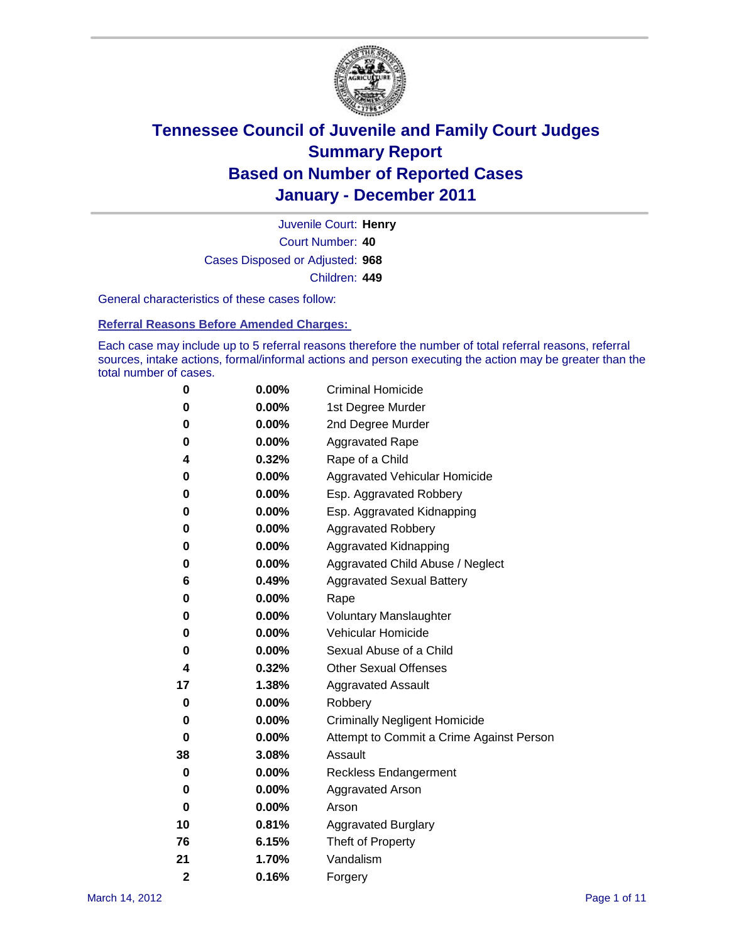

Court Number: **40** Juvenile Court: **Henry** Cases Disposed or Adjusted: **968** Children: **449**

General characteristics of these cases follow:

**Referral Reasons Before Amended Charges:** 

Each case may include up to 5 referral reasons therefore the number of total referral reasons, referral sources, intake actions, formal/informal actions and person executing the action may be greater than the total number of cases.

| 0              | 0.00%    | <b>Criminal Homicide</b>                 |  |  |  |
|----------------|----------|------------------------------------------|--|--|--|
| 0              | 0.00%    | 1st Degree Murder                        |  |  |  |
| 0              | 0.00%    | 2nd Degree Murder                        |  |  |  |
| 0              | 0.00%    | <b>Aggravated Rape</b>                   |  |  |  |
| 4              | 0.32%    | Rape of a Child                          |  |  |  |
| 0              | 0.00%    | Aggravated Vehicular Homicide            |  |  |  |
| 0              | 0.00%    | Esp. Aggravated Robbery                  |  |  |  |
| 0              | 0.00%    | Esp. Aggravated Kidnapping               |  |  |  |
| 0              | 0.00%    | <b>Aggravated Robbery</b>                |  |  |  |
| 0              | 0.00%    | Aggravated Kidnapping                    |  |  |  |
| 0              | 0.00%    | Aggravated Child Abuse / Neglect         |  |  |  |
| 6              | 0.49%    | <b>Aggravated Sexual Battery</b>         |  |  |  |
| 0              | 0.00%    | Rape                                     |  |  |  |
| 0              | $0.00\%$ | <b>Voluntary Manslaughter</b>            |  |  |  |
| 0              | 0.00%    | Vehicular Homicide                       |  |  |  |
| 0              | 0.00%    | Sexual Abuse of a Child                  |  |  |  |
| 4              | 0.32%    | <b>Other Sexual Offenses</b>             |  |  |  |
| 17             | 1.38%    | <b>Aggravated Assault</b>                |  |  |  |
| 0              | $0.00\%$ | Robbery                                  |  |  |  |
| 0              | 0.00%    | <b>Criminally Negligent Homicide</b>     |  |  |  |
| 0              | 0.00%    | Attempt to Commit a Crime Against Person |  |  |  |
| 38             | 3.08%    | Assault                                  |  |  |  |
| 0              | 0.00%    | <b>Reckless Endangerment</b>             |  |  |  |
| 0              | 0.00%    | <b>Aggravated Arson</b>                  |  |  |  |
| 0              | 0.00%    | Arson                                    |  |  |  |
| 10             | 0.81%    | <b>Aggravated Burglary</b>               |  |  |  |
| 76             | 6.15%    | Theft of Property                        |  |  |  |
| 21             | 1.70%    | Vandalism                                |  |  |  |
| $\overline{2}$ | 0.16%    | Forgery                                  |  |  |  |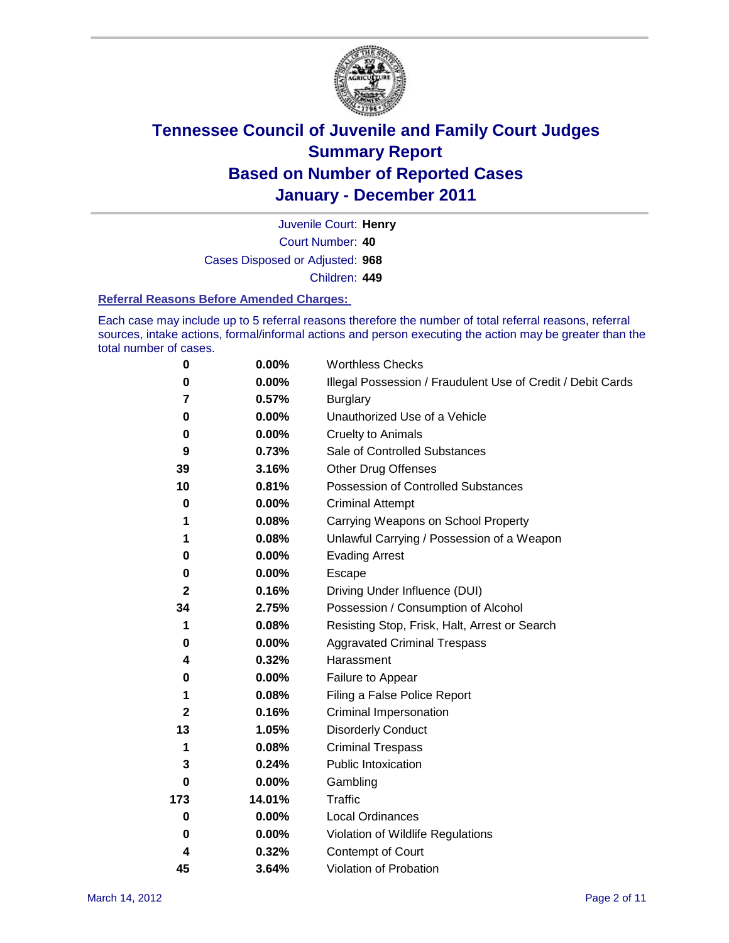

Court Number: **40** Juvenile Court: **Henry** Cases Disposed or Adjusted: **968** Children: **449**

#### **Referral Reasons Before Amended Charges:**

Each case may include up to 5 referral reasons therefore the number of total referral reasons, referral sources, intake actions, formal/informal actions and person executing the action may be greater than the total number of cases.

| $\pmb{0}$    | 0.00%    | <b>Worthless Checks</b>                                     |  |  |
|--------------|----------|-------------------------------------------------------------|--|--|
| 0            | 0.00%    | Illegal Possession / Fraudulent Use of Credit / Debit Cards |  |  |
| 7            | 0.57%    | <b>Burglary</b>                                             |  |  |
| 0            | $0.00\%$ | Unauthorized Use of a Vehicle                               |  |  |
| 0            | $0.00\%$ | <b>Cruelty to Animals</b>                                   |  |  |
| 9            | 0.73%    | Sale of Controlled Substances                               |  |  |
| 39           | 3.16%    | <b>Other Drug Offenses</b>                                  |  |  |
| 10           | 0.81%    | Possession of Controlled Substances                         |  |  |
| $\mathbf 0$  | $0.00\%$ | <b>Criminal Attempt</b>                                     |  |  |
| 1            | 0.08%    | Carrying Weapons on School Property                         |  |  |
| 1            | 0.08%    | Unlawful Carrying / Possession of a Weapon                  |  |  |
| 0            | $0.00\%$ | <b>Evading Arrest</b>                                       |  |  |
| 0            | 0.00%    | Escape                                                      |  |  |
| $\mathbf{2}$ | 0.16%    | Driving Under Influence (DUI)                               |  |  |
| 34           | 2.75%    | Possession / Consumption of Alcohol                         |  |  |
| 1            | 0.08%    | Resisting Stop, Frisk, Halt, Arrest or Search               |  |  |
| 0            | $0.00\%$ | <b>Aggravated Criminal Trespass</b>                         |  |  |
| 4            | 0.32%    | Harassment                                                  |  |  |
| 0            | 0.00%    | Failure to Appear                                           |  |  |
| 1            | 0.08%    | Filing a False Police Report                                |  |  |
| $\mathbf{2}$ | 0.16%    | Criminal Impersonation                                      |  |  |
| 13           | 1.05%    | <b>Disorderly Conduct</b>                                   |  |  |
| 1            | 0.08%    | <b>Criminal Trespass</b>                                    |  |  |
| 3            | 0.24%    | Public Intoxication                                         |  |  |
| 0            | $0.00\%$ | Gambling                                                    |  |  |
| 173          | 14.01%   | <b>Traffic</b>                                              |  |  |
| 0            | $0.00\%$ | Local Ordinances                                            |  |  |
| 0            | 0.00%    | Violation of Wildlife Regulations                           |  |  |
| 4            | 0.32%    | Contempt of Court                                           |  |  |
| 45           | 3.64%    | Violation of Probation                                      |  |  |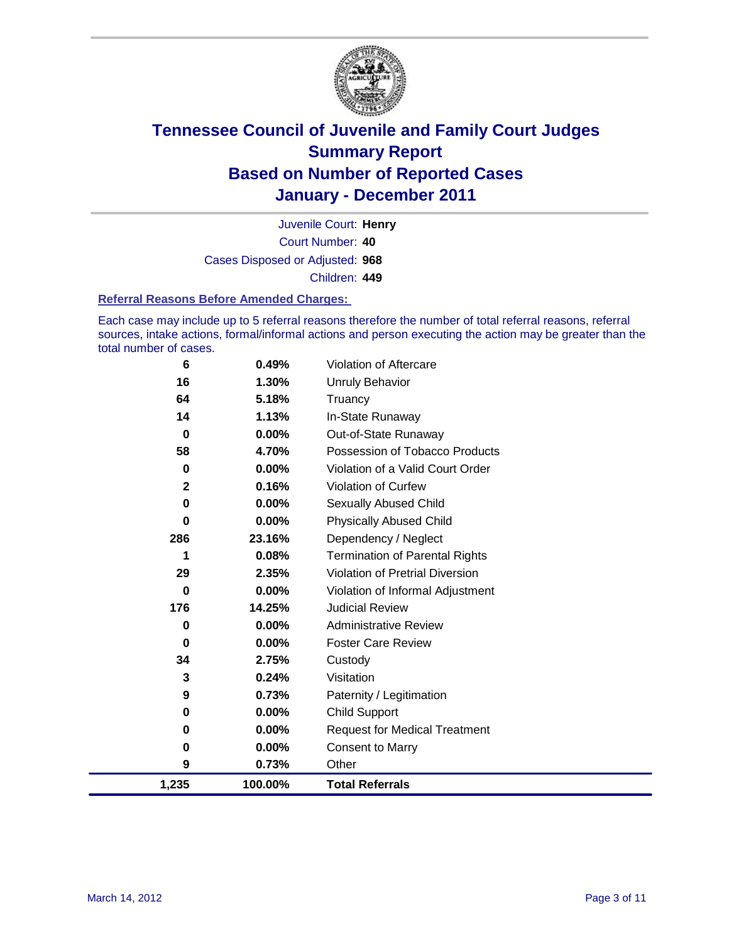

Court Number: **40** Juvenile Court: **Henry** Cases Disposed or Adjusted: **968** Children: **449**

#### **Referral Reasons Before Amended Charges:**

Each case may include up to 5 referral reasons therefore the number of total referral reasons, referral sources, intake actions, formal/informal actions and person executing the action may be greater than the total number of cases.

| 6            | 0.49%    | Violation of Aftercare                 |
|--------------|----------|----------------------------------------|
| 16           | 1.30%    | <b>Unruly Behavior</b>                 |
| 64           | 5.18%    | Truancy                                |
| 14           | 1.13%    | In-State Runaway                       |
| $\bf{0}$     | 0.00%    | Out-of-State Runaway                   |
| 58           | 4.70%    | Possession of Tobacco Products         |
| 0            | $0.00\%$ | Violation of a Valid Court Order       |
| $\mathbf{2}$ | 0.16%    | Violation of Curfew                    |
| $\bf{0}$     | 0.00%    | Sexually Abused Child                  |
| $\bf{0}$     | 0.00%    | <b>Physically Abused Child</b>         |
| 286          | 23.16%   | Dependency / Neglect                   |
| 1            | 0.08%    | <b>Termination of Parental Rights</b>  |
| 29           | 2.35%    | <b>Violation of Pretrial Diversion</b> |
| 0            | 0.00%    | Violation of Informal Adjustment       |
| 176          | 14.25%   | <b>Judicial Review</b>                 |
| 0            | 0.00%    | <b>Administrative Review</b>           |
| 0            | 0.00%    | <b>Foster Care Review</b>              |
| 34           | 2.75%    | Custody                                |
| 3            | 0.24%    | Visitation                             |
| 9            | 0.73%    | Paternity / Legitimation               |
| 0            | 0.00%    | <b>Child Support</b>                   |
| $\bf{0}$     | 0.00%    | <b>Request for Medical Treatment</b>   |
| 0            | 0.00%    | <b>Consent to Marry</b>                |
| 9            | 0.73%    | Other                                  |
| 1,235        | 100.00%  | <b>Total Referrals</b>                 |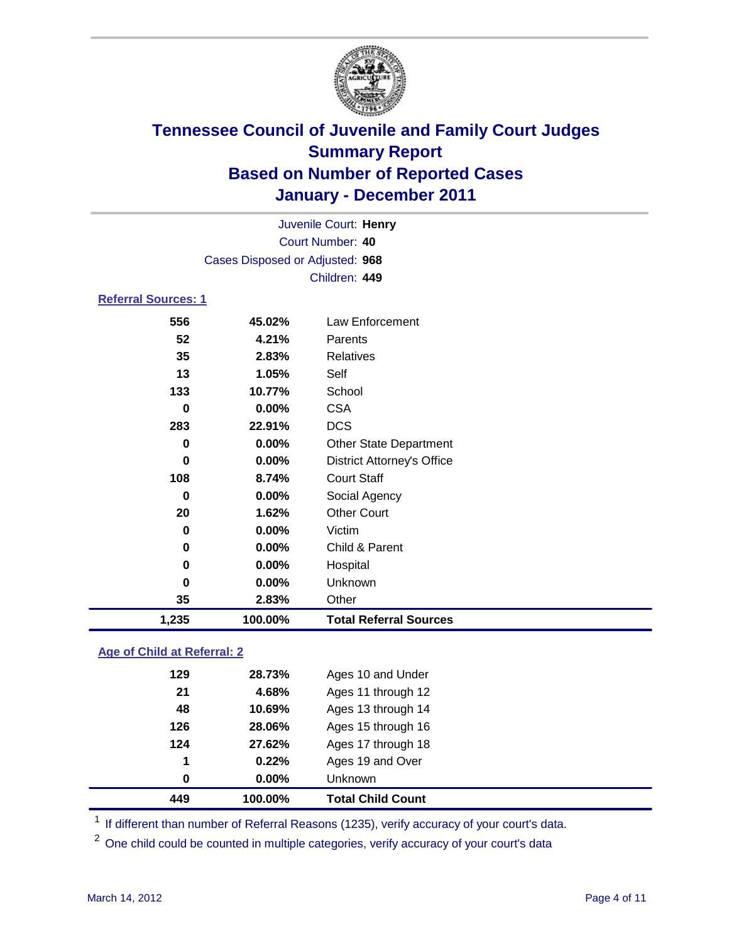

| Juvenile Court: Henry      |                                 |                                   |  |  |  |
|----------------------------|---------------------------------|-----------------------------------|--|--|--|
| Court Number: 40           |                                 |                                   |  |  |  |
|                            | Cases Disposed or Adjusted: 968 |                                   |  |  |  |
|                            |                                 | Children: 449                     |  |  |  |
| <b>Referral Sources: 1</b> |                                 |                                   |  |  |  |
| 556                        | 45.02%                          | Law Enforcement                   |  |  |  |
| 52                         | 4.21%                           | Parents                           |  |  |  |
| 35                         | 2.83%                           | <b>Relatives</b>                  |  |  |  |
| 13                         | 1.05%                           | Self                              |  |  |  |
| 133                        | 10.77%                          | School                            |  |  |  |
| 0                          | $0.00\%$                        | <b>CSA</b>                        |  |  |  |
| 283                        | 22.91%                          | <b>DCS</b>                        |  |  |  |
| 0                          | 0.00%                           | <b>Other State Department</b>     |  |  |  |
| $\bf{0}$                   | 0.00%                           | <b>District Attorney's Office</b> |  |  |  |
| 108                        | 8.74%                           | <b>Court Staff</b>                |  |  |  |
| 0                          | 0.00%                           | Social Agency                     |  |  |  |
| 20                         | 1.62%                           | <b>Other Court</b>                |  |  |  |
| 0                          | 0.00%                           | Victim                            |  |  |  |
| 0                          | 0.00%                           | Child & Parent                    |  |  |  |
| 0                          | 0.00%                           | Hospital                          |  |  |  |
| $\bf{0}$                   | 0.00%                           | Unknown                           |  |  |  |
| 35                         | 2.83%                           | Other                             |  |  |  |
| 1,235                      | 100.00%                         | <b>Total Referral Sources</b>     |  |  |  |

### **Age of Child at Referral: 2**

| 1<br>0 | 0.22%<br>$0.00\%$ | Ages 19 and Over<br><b>Unknown</b> |  |
|--------|-------------------|------------------------------------|--|
|        |                   |                                    |  |
|        |                   |                                    |  |
|        |                   | Ages 17 through 18                 |  |
| 126    | 28.06%            | Ages 15 through 16                 |  |
| 48     | 10.69%            | Ages 13 through 14                 |  |
| 21     | 4.68%             | Ages 11 through 12                 |  |
| 129    | 28.73%            | Ages 10 and Under                  |  |
|        |                   | 124<br>27.62%                      |  |

<sup>1</sup> If different than number of Referral Reasons (1235), verify accuracy of your court's data.

<sup>2</sup> One child could be counted in multiple categories, verify accuracy of your court's data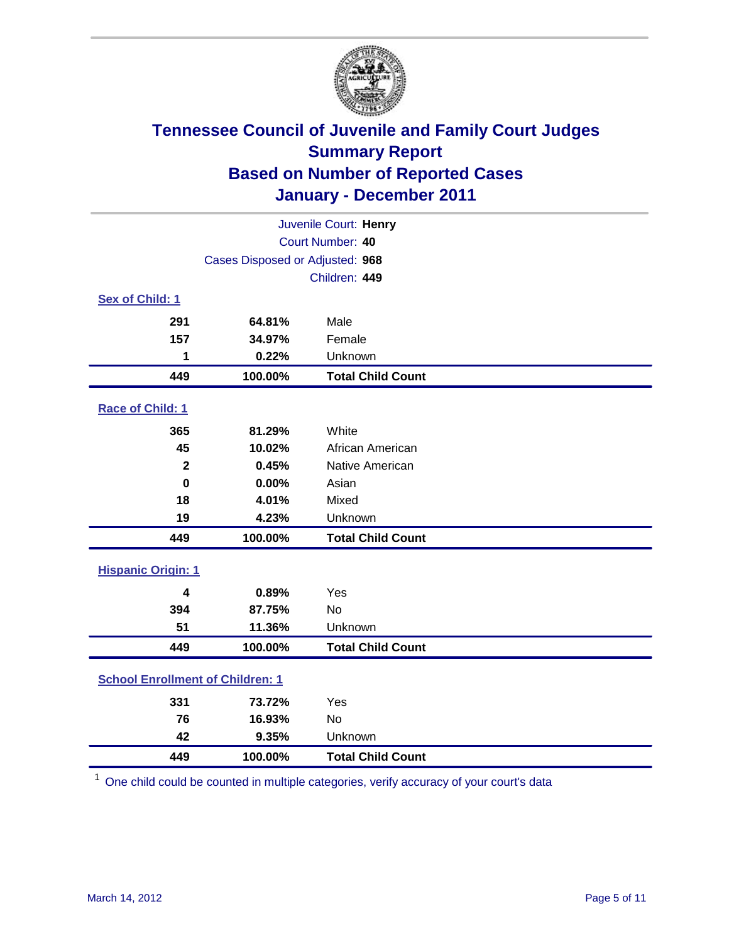

| Juvenile Court: Henry                   |                                 |                          |  |  |  |
|-----------------------------------------|---------------------------------|--------------------------|--|--|--|
| Court Number: 40                        |                                 |                          |  |  |  |
|                                         | Cases Disposed or Adjusted: 968 |                          |  |  |  |
|                                         | Children: 449                   |                          |  |  |  |
| Sex of Child: 1                         |                                 |                          |  |  |  |
| 291                                     | 64.81%                          | Male                     |  |  |  |
| 157                                     | 34.97%                          | Female                   |  |  |  |
| 1                                       | 0.22%                           | Unknown                  |  |  |  |
| 449                                     | 100.00%                         | <b>Total Child Count</b> |  |  |  |
| Race of Child: 1                        |                                 |                          |  |  |  |
| 365                                     | 81.29%                          | White                    |  |  |  |
| 45                                      | 10.02%                          | African American         |  |  |  |
| $\overline{\mathbf{2}}$                 | 0.45%                           | Native American          |  |  |  |
| $\mathbf 0$                             | 0.00%                           | Asian                    |  |  |  |
| 18                                      | 4.01%                           | Mixed                    |  |  |  |
| 19                                      | 4.23%                           | Unknown                  |  |  |  |
| 449                                     | 100.00%                         | <b>Total Child Count</b> |  |  |  |
| <b>Hispanic Origin: 1</b>               |                                 |                          |  |  |  |
| 4                                       | 0.89%                           | Yes                      |  |  |  |
| 394                                     | 87.75%                          | <b>No</b>                |  |  |  |
| 51                                      | 11.36%                          | Unknown                  |  |  |  |
| 449                                     | 100.00%                         | <b>Total Child Count</b> |  |  |  |
| <b>School Enrollment of Children: 1</b> |                                 |                          |  |  |  |
| 331                                     | 73.72%                          | Yes                      |  |  |  |
| 76                                      | 16.93%                          | <b>No</b>                |  |  |  |
| 42                                      | 9.35%                           | Unknown                  |  |  |  |
| 449                                     | 100.00%                         | <b>Total Child Count</b> |  |  |  |

One child could be counted in multiple categories, verify accuracy of your court's data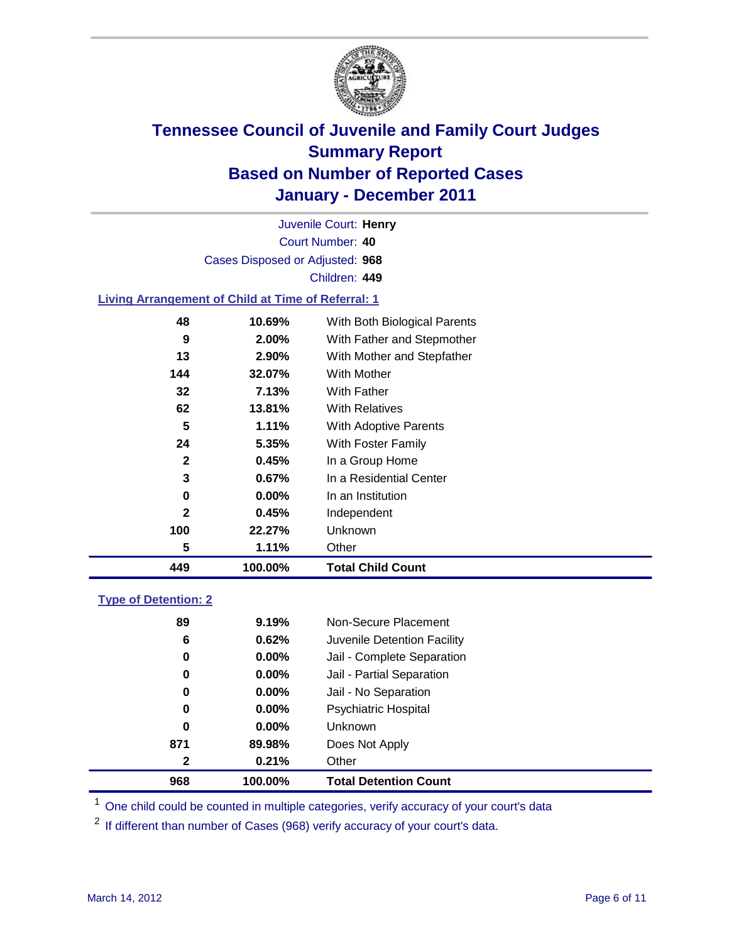

Court Number: **40** Juvenile Court: **Henry** Cases Disposed or Adjusted: **968** Children: **449**

### **Living Arrangement of Child at Time of Referral: 1**

| 449          | 100.00%  | <b>Total Child Count</b>     |
|--------------|----------|------------------------------|
| 5            | 1.11%    | Other                        |
| 100          | 22.27%   | <b>Unknown</b>               |
| $\mathbf{2}$ | 0.45%    | Independent                  |
| 0            | $0.00\%$ | In an Institution            |
| 3            | 0.67%    | In a Residential Center      |
| $\mathbf{2}$ | 0.45%    | In a Group Home              |
| 24           | $5.35\%$ | With Foster Family           |
| 5            | 1.11%    | With Adoptive Parents        |
| 62           | 13.81%   | <b>With Relatives</b>        |
| 32           | 7.13%    | With Father                  |
| 144          | 32.07%   | With Mother                  |
| 13           | 2.90%    | With Mother and Stepfather   |
| 9            | 2.00%    | With Father and Stepmother   |
| 48           | 10.69%   | With Both Biological Parents |

### **Type of Detention: 2**

| 968          | 100.00%  | <b>Total Detention Count</b> |
|--------------|----------|------------------------------|
| $\mathbf{2}$ | 0.21%    | Other                        |
| 871          | 89.98%   | Does Not Apply               |
| 0            | $0.00\%$ | Unknown                      |
| 0            | $0.00\%$ | Psychiatric Hospital         |
| 0            | 0.00%    | Jail - No Separation         |
| 0            | $0.00\%$ | Jail - Partial Separation    |
| 0            | 0.00%    | Jail - Complete Separation   |
| 6            | 0.62%    | Juvenile Detention Facility  |
| 89           | 9.19%    | Non-Secure Placement         |
|              |          |                              |

<sup>1</sup> One child could be counted in multiple categories, verify accuracy of your court's data

<sup>2</sup> If different than number of Cases (968) verify accuracy of your court's data.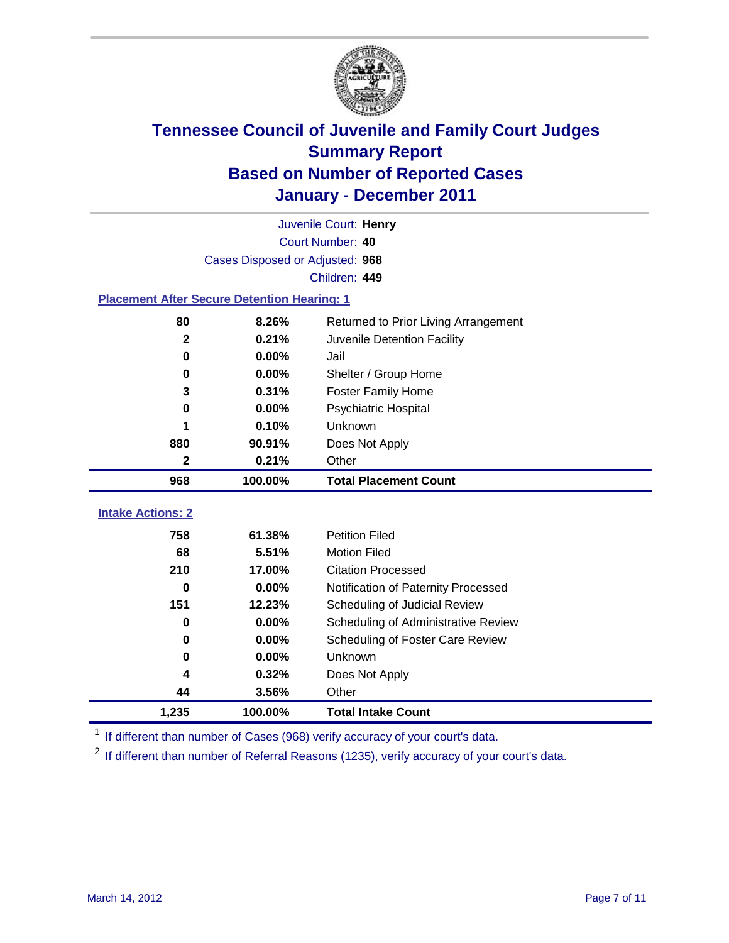

| Juvenile Court: Henry                              |                                               |                                     |  |  |  |
|----------------------------------------------------|-----------------------------------------------|-------------------------------------|--|--|--|
|                                                    | Court Number: 40                              |                                     |  |  |  |
|                                                    | Cases Disposed or Adjusted: 968               |                                     |  |  |  |
|                                                    |                                               | Children: 449                       |  |  |  |
| <b>Placement After Secure Detention Hearing: 1</b> |                                               |                                     |  |  |  |
| 80                                                 | 8.26%<br>Returned to Prior Living Arrangement |                                     |  |  |  |
| $\mathbf{2}$                                       | 0.21%                                         | Juvenile Detention Facility         |  |  |  |
| $\bf{0}$                                           | 0.00%                                         | Jail                                |  |  |  |
| 0                                                  | 0.00%                                         | Shelter / Group Home                |  |  |  |
| 3                                                  | 0.31%                                         | <b>Foster Family Home</b>           |  |  |  |
| $\bf{0}$                                           | 0.00%                                         | Psychiatric Hospital                |  |  |  |
|                                                    | 0.10%                                         | Unknown                             |  |  |  |
| 880                                                | 90.91%                                        | Does Not Apply                      |  |  |  |
| $\mathbf{2}$                                       | 0.21%                                         | Other                               |  |  |  |
| 968                                                | 100.00%                                       | <b>Total Placement Count</b>        |  |  |  |
|                                                    |                                               |                                     |  |  |  |
| <b>Intake Actions: 2</b>                           |                                               |                                     |  |  |  |
| 758                                                | 61.38%                                        | <b>Petition Filed</b>               |  |  |  |
| 68                                                 | 5.51%                                         | <b>Motion Filed</b>                 |  |  |  |
| 210                                                | 17.00%                                        | <b>Citation Processed</b>           |  |  |  |
| $\bf{0}$                                           | 0.00%                                         | Notification of Paternity Processed |  |  |  |
| 151                                                | 12.23%                                        | Scheduling of Judicial Review       |  |  |  |
| $\bf{0}$                                           | 0.00%                                         | Scheduling of Administrative Review |  |  |  |
| $\bf{0}$                                           | 0.00%                                         | Scheduling of Foster Care Review    |  |  |  |
| $\bf{0}$                                           | 0.00%                                         | Unknown                             |  |  |  |
| 4                                                  | 0.32%                                         | Does Not Apply                      |  |  |  |

<sup>1</sup> If different than number of Cases (968) verify accuracy of your court's data.

**1,235 100.00% Total Intake Count**

<sup>2</sup> If different than number of Referral Reasons (1235), verify accuracy of your court's data.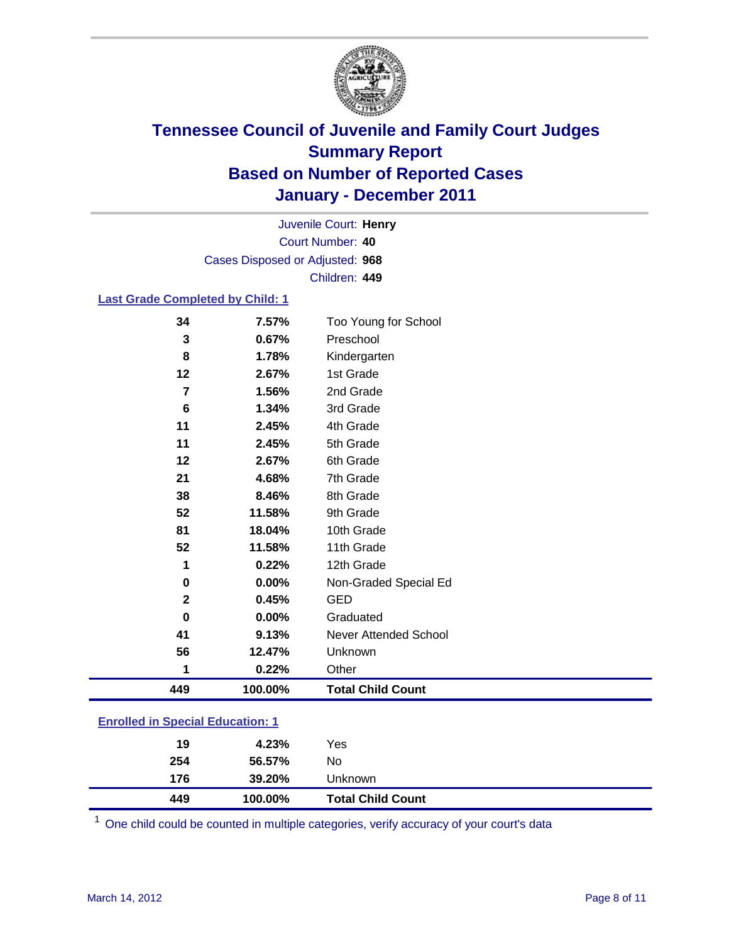

Court Number: **40** Juvenile Court: **Henry** Cases Disposed or Adjusted: **968** Children: **449**

### **Last Grade Completed by Child: 1**

| 449          | 100.00% | <b>Total Child Count</b>     |  |
|--------------|---------|------------------------------|--|
| 1            | 0.22%   | Other                        |  |
| 56           | 12.47%  | Unknown                      |  |
| 41           | 9.13%   | <b>Never Attended School</b> |  |
| 0            | 0.00%   | Graduated                    |  |
| $\mathbf{2}$ | 0.45%   | <b>GED</b>                   |  |
| 0            | 0.00%   | Non-Graded Special Ed        |  |
| 1            | 0.22%   | 12th Grade                   |  |
| 52           | 11.58%  | 11th Grade                   |  |
| 81           | 18.04%  | 10th Grade                   |  |
| 52           | 11.58%  | 9th Grade                    |  |
| 38           | 8.46%   | 8th Grade                    |  |
| 21           | 4.68%   | 7th Grade                    |  |
| 12           | 2.67%   | 6th Grade                    |  |
| 11           | 2.45%   | 5th Grade                    |  |
| 11           | 2.45%   | 4th Grade                    |  |
| 6            | 1.34%   | 3rd Grade                    |  |
| 7            | 1.56%   | 2nd Grade                    |  |
| 12           | 2.67%   | 1st Grade                    |  |
| 8            | 1.78%   | Kindergarten                 |  |
| 3            | 0.67%   | Preschool                    |  |
| 34           | 7.57%   | Too Young for School         |  |

### **Enrolled in Special Education: 1**

| 254 | 56.57%  | No                       |  |
|-----|---------|--------------------------|--|
| 176 | 39.20%  | Unknown                  |  |
| 449 | 100.00% | <b>Total Child Count</b> |  |

One child could be counted in multiple categories, verify accuracy of your court's data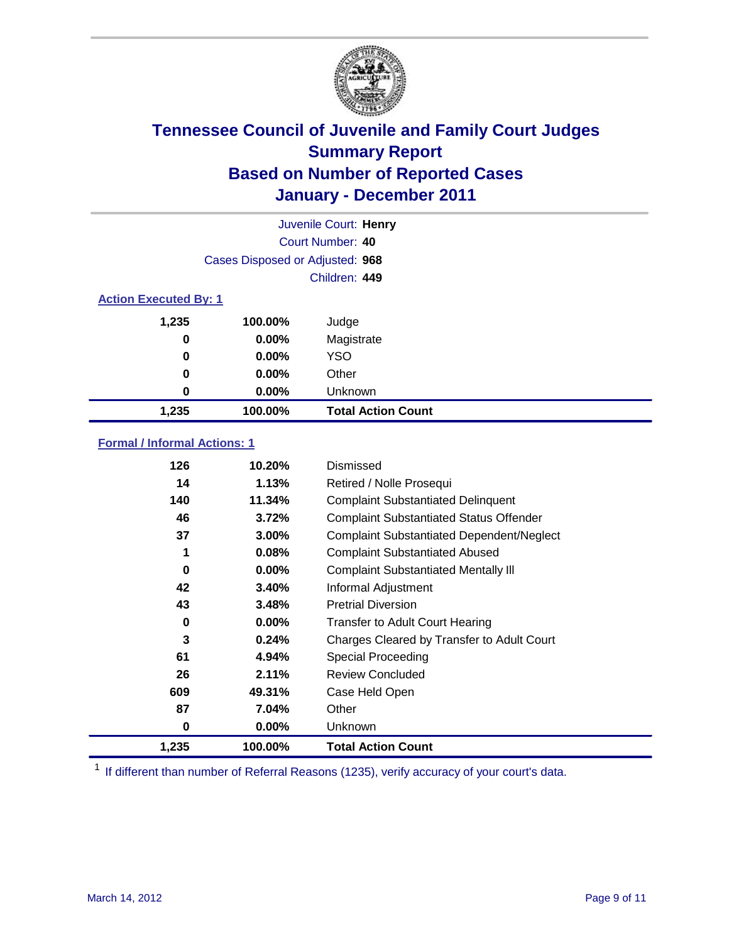

|                              | Juvenile Court: Henry           |                           |  |  |
|------------------------------|---------------------------------|---------------------------|--|--|
|                              | Court Number: 40                |                           |  |  |
|                              | Cases Disposed or Adjusted: 968 |                           |  |  |
|                              | Children: 449                   |                           |  |  |
| <b>Action Executed By: 1</b> |                                 |                           |  |  |
| 1,235                        | 100.00%                         | Judge                     |  |  |
| 0                            | $0.00\%$                        | Magistrate                |  |  |
| 0                            | $0.00\%$                        | <b>YSO</b>                |  |  |
| 0                            | 0.00%                           | Other                     |  |  |
| 0                            | 0.00%                           | Unknown                   |  |  |
| 1,235                        | 100.00%                         | <b>Total Action Count</b> |  |  |

### **Formal / Informal Actions: 1**

| 126   | 10.20%   | <b>Dismissed</b>                                 |
|-------|----------|--------------------------------------------------|
| 14    | 1.13%    | Retired / Nolle Prosequi                         |
| 140   | 11.34%   | <b>Complaint Substantiated Delinquent</b>        |
| 46    | 3.72%    | <b>Complaint Substantiated Status Offender</b>   |
| 37    | 3.00%    | <b>Complaint Substantiated Dependent/Neglect</b> |
| 1     | 0.08%    | <b>Complaint Substantiated Abused</b>            |
| 0     | $0.00\%$ | <b>Complaint Substantiated Mentally III</b>      |
| 42    | 3.40%    | Informal Adjustment                              |
| 43    | 3.48%    | <b>Pretrial Diversion</b>                        |
| 0     | $0.00\%$ | <b>Transfer to Adult Court Hearing</b>           |
| 3     | 0.24%    | Charges Cleared by Transfer to Adult Court       |
| 61    | 4.94%    | Special Proceeding                               |
| 26    | 2.11%    | <b>Review Concluded</b>                          |
| 609   | 49.31%   | Case Held Open                                   |
| 87    | 7.04%    | Other                                            |
| 0     | $0.00\%$ | Unknown                                          |
| 1,235 | 100.00%  | <b>Total Action Count</b>                        |

<sup>1</sup> If different than number of Referral Reasons (1235), verify accuracy of your court's data.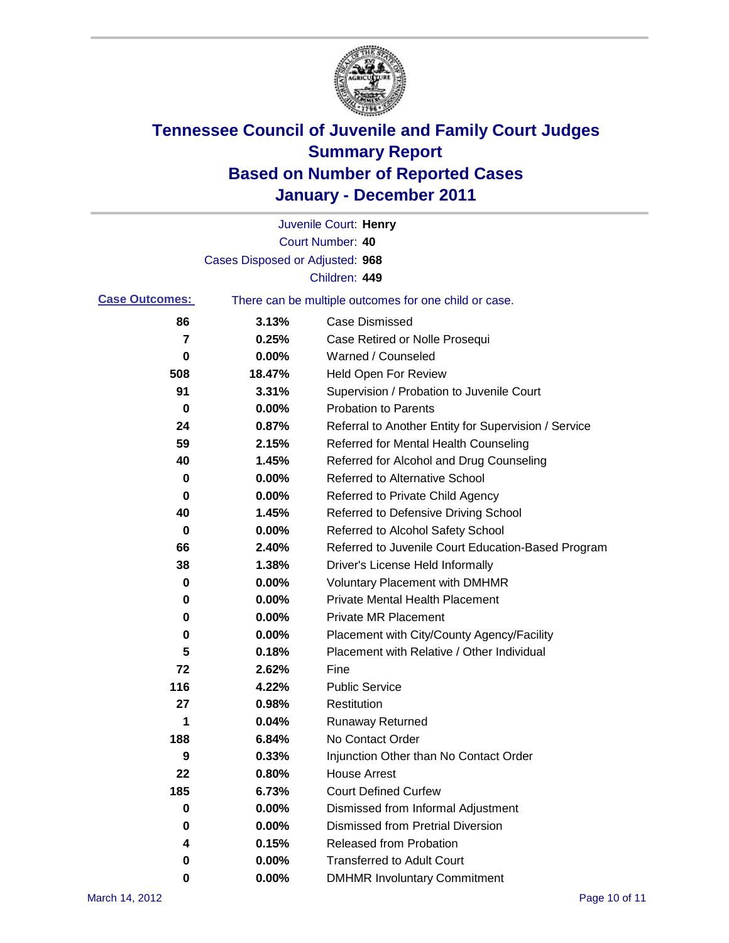

|                       |                                 | Juvenile Court: Henry                                 |
|-----------------------|---------------------------------|-------------------------------------------------------|
|                       |                                 | <b>Court Number: 40</b>                               |
|                       | Cases Disposed or Adjusted: 968 |                                                       |
|                       |                                 | Children: 449                                         |
| <b>Case Outcomes:</b> |                                 | There can be multiple outcomes for one child or case. |
| 86                    | 3.13%                           | <b>Case Dismissed</b>                                 |
| 7                     | 0.25%                           | Case Retired or Nolle Prosequi                        |
| 0                     | 0.00%                           | Warned / Counseled                                    |
| 508                   | 18.47%                          | Held Open For Review                                  |
| 91                    | 3.31%                           | Supervision / Probation to Juvenile Court             |
| 0                     | 0.00%                           | <b>Probation to Parents</b>                           |
| 24                    | 0.87%                           | Referral to Another Entity for Supervision / Service  |
| 59                    | 2.15%                           | Referred for Mental Health Counseling                 |
| 40                    | 1.45%                           | Referred for Alcohol and Drug Counseling              |
| 0                     | 0.00%                           | <b>Referred to Alternative School</b>                 |
| 0                     | 0.00%                           | Referred to Private Child Agency                      |
| 40                    | 1.45%                           | Referred to Defensive Driving School                  |
| 0                     | 0.00%                           | Referred to Alcohol Safety School                     |
| 66                    | 2.40%                           | Referred to Juvenile Court Education-Based Program    |
| 38                    | 1.38%                           | Driver's License Held Informally                      |
| 0                     | 0.00%                           | <b>Voluntary Placement with DMHMR</b>                 |
| 0                     | 0.00%                           | <b>Private Mental Health Placement</b>                |
| 0                     | 0.00%                           | <b>Private MR Placement</b>                           |
| 0                     | 0.00%                           | Placement with City/County Agency/Facility            |
| 5                     | 0.18%                           | Placement with Relative / Other Individual            |
| 72                    | 2.62%                           | Fine                                                  |
| 116                   | 4.22%                           | <b>Public Service</b>                                 |
| 27                    | 0.98%                           | Restitution                                           |
| 1                     | 0.04%                           | <b>Runaway Returned</b>                               |
| 188                   | 6.84%                           | No Contact Order                                      |
| 9                     | 0.33%                           | Injunction Other than No Contact Order                |
| 22                    | 0.80%                           | <b>House Arrest</b>                                   |
| 185                   | 6.73%                           | <b>Court Defined Curfew</b>                           |
| 0                     | 0.00%                           | Dismissed from Informal Adjustment                    |
| 0                     | $0.00\%$                        | <b>Dismissed from Pretrial Diversion</b>              |
| 4                     | 0.15%                           | Released from Probation                               |
| 0                     | 0.00%                           | <b>Transferred to Adult Court</b>                     |
| 0                     | $0.00\%$                        | <b>DMHMR Involuntary Commitment</b>                   |